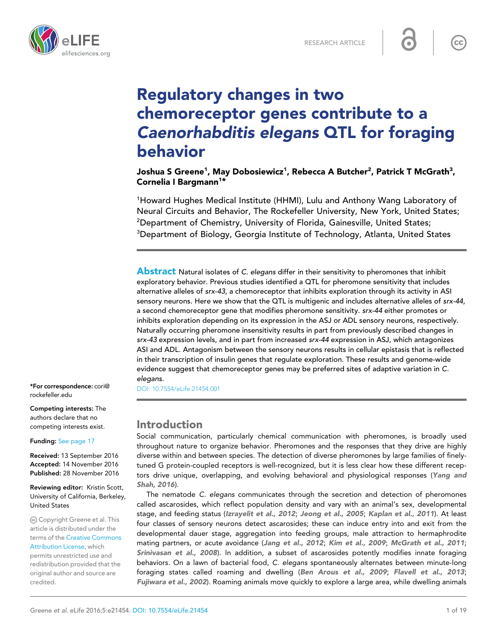



# Regulatory changes in two chemoreceptor genes contribute to a Caenorhabditis elegans QTL for foraging behavior

Joshua S Greene $^{\rm 1}$ , May Dobosiewicz $^{\rm 1}$ , Rebecca A Butcher $^{\rm 2}$ , Patrick T McGrath $^{\rm 3}$ , Cornelia I Bargmann<sup>1\*</sup>

<sup>1</sup>Howard Hughes Medical Institute (HHMI), Lulu and Anthony Wang Laboratory of Neural Circuits and Behavior, The Rockefeller University, New York, United States; <sup>2</sup>Department of Chemistry, University of Florida, Gainesville, United States; <sup>3</sup>Department of Biology, Georgia Institute of Technology, Atlanta, United States

**Abstract** Natural isolates of C. elegans differ in their sensitivity to pheromones that inhibit exploratory behavior. Previous studies identified a QTL for pheromone sensitivity that includes alternative alleles of srx-43, a chemoreceptor that inhibits exploration through its activity in ASI sensory neurons. Here we show that the QTL is multigenic and includes alternative alleles of srx-44, a second chemoreceptor gene that modifies pheromone sensitivity. srx-44 either promotes or inhibits exploration depending on its expression in the ASJ or ADL sensory neurons, respectively. Naturally occurring pheromone insensitivity results in part from previously described changes in srx-43 expression levels, and in part from increased srx-44 expression in ASJ, which antagonizes ASI and ADL. Antagonism between the sensory neurons results in cellular epistasis that is reflected in their transcription of insulin genes that regulate exploration. These results and genome-wide evidence suggest that chemoreceptor genes may be preferred sites of adaptive variation in C. elegans.

[DOI: 10.7554/eLife.21454.001](http://dx.doi.org/10.7554/eLife.21454.001)

# Introduction

Social communication, particularly chemical communication with pheromones, is broadly used throughout nature to organize behavior. Pheromones and the responses that they drive are highly diverse within and between species. The detection of diverse pheromones by large families of finelytuned G protein-coupled receptors is well-recognized, but it is less clear how these different recep-tors drive unique, overlapping, and evolving behavioral and physiological responses ([Yang and](#page-18-0) [Shah, 2016](#page-18-0)).

The nematode *C. elegans* communicates through the secretion and detection of pheromones called ascarosides, which reflect population density and vary with an animal's sex, developmental stage, and feeding status ([Izrayelit et al., 2012](#page-17-0); [Jeong et al., 2005](#page-17-0); [Kaplan et al., 2011](#page-17-0)). At least four classes of sensory neurons detect ascarosides; these can induce entry into and exit from the developmental dauer stage, aggregation into feeding groups, male attraction to hermaphrodite mating partners, or acute avoidance ([Jang et al., 2012](#page-17-0); [Kim et al., 2009](#page-17-0); [McGrath et al., 2011](#page-18-0); [Srinivasan et al., 2008](#page-18-0)). In addition, a subset of ascarosides potently modifies innate foraging behaviors. On a lawn of bacterial food, *C. elegans* spontaneously alternates between minute-long foraging states called roaming and dwelling ([Ben Arous et al., 2009](#page-17-0); [Flavell et al., 2013](#page-17-0); [Fujiwara et al., 2002](#page-17-0)). Roaming animals move quickly to explore a large area, while dwelling animals

\*For correspondence: cori@ rockefeller.edu

Competing interests: The authors declare that no competing interests exist.

Funding: [See page 17](#page-16-0)

Received: 13 September 2016 Accepted: 14 November 2016 Published: 28 November 2016

Reviewing editor: Kristin Scott, University of California, Berkeley, United States

Copyright Greene et al. This article is distributed under the terms of the [Creative Commons](http://creativecommons.org/licenses/by/4.0/) [Attribution License,](http://creativecommons.org/licenses/by/4.0/) which permits unrestricted use and redistribution provided that the original author and source are

credited.

 $cc$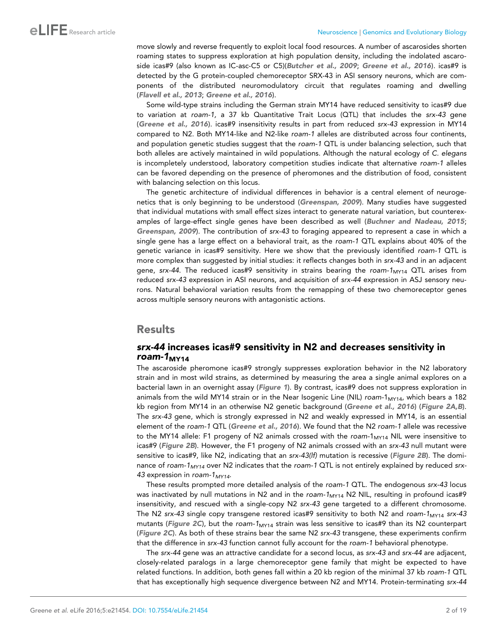move slowly and reverse frequently to exploit local food resources. A number of ascarosides shorten roaming states to suppress exploration at high population density, including the indolated ascaro-side icas#9 (also known as IC-asc-C5 or C5)([Butcher et al., 2009](#page-17-0); [Greene et al., 2016](#page-17-0)). icas#9 is detected by the G protein-coupled chemoreceptor SRX-43 in ASI sensory neurons, which are components of the distributed neuromodulatory circuit that regulates roaming and dwelling ([Flavell et al., 2013](#page-17-0); [Greene et al., 2016](#page-17-0)).

Some wild-type strains including the German strain MY14 have reduced sensitivity to icas#9 due to variation at *roam-1,* a 37 kb Quantitative Trait Locus (QTL) that includes the *srx-43* gene ([Greene et al., 2016](#page-17-0)). icas#9 insensitivity results in part from reduced *srx-43* expression in MY14 compared to N2. Both MY14-like and N2-like *roam-1* alleles are distributed across four continents, and population genetic studies suggest that the *roam-1* QTL is under balancing selection, such that both alleles are actively maintained in wild populations. Although the natural ecology of *C. elegans* is incompletely understood, laboratory competition studies indicate that alternative *roam-1* alleles can be favored depending on the presence of pheromones and the distribution of food, consistent with balancing selection on this locus.

The genetic architecture of individual differences in behavior is a central element of neurogenetics that is only beginning to be understood ([Greenspan, 2009](#page-17-0)). Many studies have suggested that individual mutations with small effect sizes interact to generate natural variation, but counterexamples of large-effect single genes have been described as well ([Buchner and Nadeau, 2015](#page-17-0); [Greenspan, 2009](#page-17-0)). The contribution of *srx-43* to foraging appeared to represent a case in which a single gene has a large effect on a behavioral trait, as the *roam-1* QTL explains about 40% of the genetic variance in icas#9 sensitivity. Here we show that the previously identified *roam-1* QTL is more complex than suggested by initial studies: it reflects changes both in *srx-43* and in an adjacent gene, *srx-44*. The reduced icas#9 sensitivity in strains bearing the *roam-1<sub>MY14</sub>* QTL arises from reduced *srx-43* expression in ASI neurons, and acquisition of *srx-44* expression in ASJ sensory neurons. Natural behavioral variation results from the remapping of these two chemoreceptor genes across multiple sensory neurons with antagonistic actions.

# Results

# srx-44 increases icas#9 sensitivity in N2 and decreases sensitivity in roam- $1_{MY14}$

The ascaroside pheromone icas#9 strongly suppresses exploration behavior in the N2 laboratory strain and in most wild strains, as determined by measuring the area a single animal explores on a bacterial lawn in an overnight assay ([Figure 1](#page-2-0)). By contrast, icas#9 does not suppress exploration in animals from the wild MY14 strain or in the Near Isogenic Line (NIL) *roam-1<sub>MY14</sub>*, which bears a 182 kb region from MY14 in an otherwise N2 genetic background ([Greene et al., 2016](#page-17-0)) ([Figure 2A,B](#page-3-0)). The *srx-43* gene, which is strongly expressed in N2 and weakly expressed in MY14, is an essential element of the *roam-1* QTL ([Greene et al., 2016](#page-17-0)). We found that the N2 *roam-1* allele was recessive to the MY14 allele: F1 progeny of N2 animals crossed with the *roam-1<sub>MY14</sub>* NIL were insensitive to icas#9 ([Figure 2B](#page-3-0)). However, the F1 progeny of N2 animals crossed with an *srx-43* null mutant were sensitive to icas#9, like N2, indicating that an *srx-43(lf)* mutation is recessive ([Figure 2B](#page-3-0)). The dominance of *roam-1MY14* over N2 indicates that the *roam-1* QTL is not entirely explained by reduced *srx-43* expression in *roam-1MY14*.

These results prompted more detailed analysis of the *roam-1* QTL. The endogenous *srx-43* locus was inactivated by null mutations in N2 and in the *roam-1<sub>MY14</sub>* N2 NIL, resulting in profound icas#9 insensitivity, and rescued with a single-copy N2 *srx-43* gene targeted to a different chromosome. The N2 *srx-43* single copy transgene restored icas#9 sensitivity to both N2 and *roam-1*<sub>MY14</sub> *srx-43* mutants ([Figure 2C](#page-3-0)), but the roam-1<sub>MY14</sub> strain was less sensitive to icas#9 than its N2 counterpart ([Figure 2C](#page-3-0)). As both of these strains bear the same N2 *srx-43* transgene, these experiments confirm that the difference in *srx-43* function cannot fully account for the *roam-1* behavioral phenotype.

The *srx-44* gene was an attractive candidate for a second locus, as *srx-43* and *srx-44* are adjacent, closely-related paralogs in a large chemoreceptor gene family that might be expected to have related functions. In addition, both genes fall within a 20 kb region of the minimal 37 kb *roam-1* QTL that has exceptionally high sequence divergence between N2 and MY14. Protein-terminating *srx-44*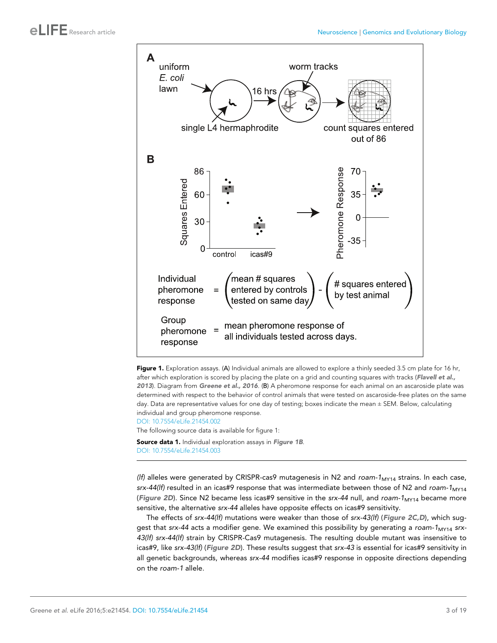<span id="page-2-0"></span>



[DOI: 10.7554/eLife.21454.002](http://dx.doi.org/10.7554/eLife.21454.002) The following source data is available for figure 1:

Source data 1. Individual exploration assays in Figure 1B. [DOI: 10.7554/eLife.21454.003](http://dx.doi.org/10.7554/eLife.21454.003)

*(lf)* alleles were generated by CRISPR-cas9 mutagenesis in N2 and *roam-1*MY14 strains. In each case, *srx-44(lf)* resulted in an icas#9 response that was intermediate between those of N2 and *roam-1*MY14 ([Figure 2D](#page-3-0)). Since N2 became less icas#9 sensitive in the *srx-44* null, and *roam-1<sub>MY14</sub>* became more sensitive, the alternative *srx-44* alleles have opposite effects on icas#9 sensitivity.

The effects of *srx-44(lf)* mutations were weaker than those of *srx-43(lf)* ([Figure 2C,D](#page-3-0)), which suggest that *srx-44* acts a modifier gene. We examined this possibility by generating a *roam-1*<sub>MY14</sub> *srx-43(lf) srx-44(lf)* strain by CRISPR-Cas9 mutagenesis. The resulting double mutant was insensitive to icas#9, like *srx-43(lf)* ([Figure 2D](#page-3-0)). These results suggest that *srx-43* is essential for icas#9 sensitivity in all genetic backgrounds, whereas *srx-44* modifies icas#9 response in opposite directions depending on the *roam-1* allele.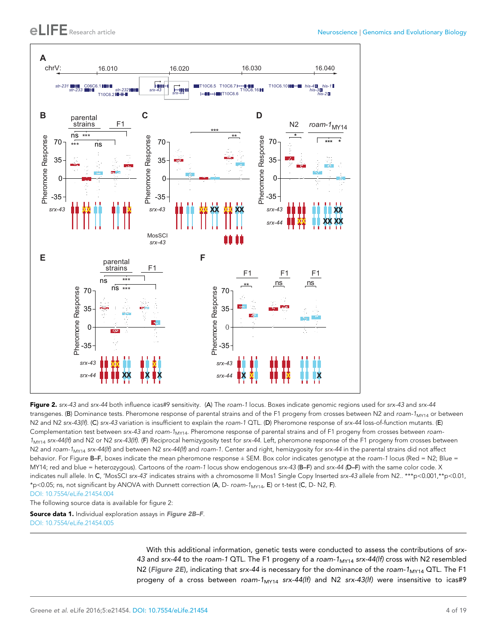<span id="page-3-0"></span>

Figure 2. *srx-43* and *srx-44* both influence icas#9 sensitivity. (A) The *roam-1* locus. Boxes indicate genomic regions used for *srx-43* and *srx-44* transgenes. (B) Dominance tests. Pheromone response of parental strains and of the F1 progeny from crosses between N2 and *roam-1*MY14 or between N2 and N2 *srx-43(lf)*. (C) *srx-43* variation is insufficient to explain the *roam-1* QTL. (D) Pheromone response of *srx-44* loss-of-function mutants. (E) Complementation test between *srx-43* and *roam-1*MY14. Pheromone response of parental strains and of F1 progeny from crosses between *roam-1*MY14 *srx-44(lf)* and N2 or N2 *srx-43(lf)*. (F) Reciprocal hemizygosity test for *srx-44*. Left, pheromone response of the F1 progeny from crosses between N2 and *roam-1*MY14 *srx-44(lf)* and between N2 *srx-44(lf)* and *roam-1.* Center and right, hemizygosity for *srx-44* in the parental strains did not affect behavior. For Figure B–F, boxes indicate the mean pheromone response ± SEM. Box color indicates genotype at the roam-1 locus (Red = N2; Blue = MY14; red and blue = heterozygous). Cartoons of the *roam-1* locus show endogenous *srx-43* (B–F) and *srx-44 (*D–F) with the same color code. X indicates null allele. In C, 'MosSCI *srx-43*' indicates strains with a chromosome II Mos1 Single Copy Inserted *srx-43* allele from N2.. \*\*\*p<0.001,\*\*p<0.01, \*p<0.05; ns, not significant by ANOVA with Dunnett correction (A, D- *roam-1*MY14, E) or t-test (C, D- N2, F). [DOI: 10.7554/eLife.21454.004](http://dx.doi.org/10.7554/eLife.21454.004)

The following source data is available for figure 2:

Source data 1. Individual exploration assays in Figure 2B-F. [DOI: 10.7554/eLife.21454.005](http://dx.doi.org/10.7554/eLife.21454.005)

> With this additional information, genetic tests were conducted to assess the contributions of *srx-*43 and *srx-44* to the *roam-1* QTL. The F1 progeny of a *roam-1<sub>MY14</sub> srx-44(lf)* cross with N2 resembled N2 (Figure 2E), indicating that *srx-44* is necessary for the dominance of the *roam-1<sub>MY14</sub>* QTL. The F1 progeny of a cross between *roam-1*MY14 *srx-44(lf)* and N2 *srx-43(lf)* were insensitive to icas#9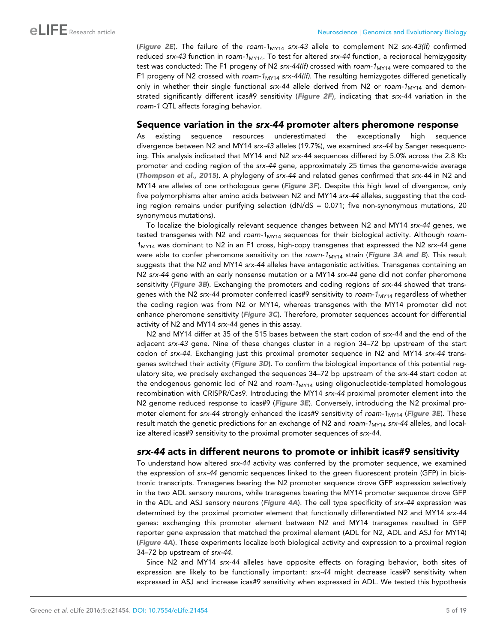([Figure 2E](#page-3-0)). The failure of the *roam-1*MY14 *srx-43* allele to complement N2 *srx-43(lf)* confirmed reduced *srx-43* function in *roam-1*MY14. To test for altered *srx-44* function, a reciprocal hemizygosity test was conducted: The F1 progeny of N2 *srx-44(lf)* crossed with *roam-1*<sub>MY14</sub> were compared to the F1 progeny of N2 crossed with *roam-1*MY14 *srx-44(lf).* The resulting hemizygotes differed genetically only in whether their single functional *srx-44* allele derived from N2 or *roam-1<sub>MY14</sub>* and demonstrated significantly different icas#9 sensitivity ([Figure 2F](#page-3-0)), indicating that *srx-44* variation in the *roam-1* QTL affects foraging behavior.

### Sequence variation in the srx-44 promoter alters pheromone response

As existing sequence resources underestimated the exceptionally high sequence divergence between N2 and MY14 *srx-43* alleles (19.7%), we examined *srx-44* by Sanger resequencing. This analysis indicated that MY14 and N2 *srx-44* sequences differed by 5.0% across the 2.8 Kb promoter and coding region of the *srx-44* gene, approximately 25 times the genome-wide average ([Thompson et al., 2015](#page-18-0)). A phylogeny of *srx-44* and related genes confirmed that *srx-44* in N2 and MY14 are alleles of one orthologous gene ([Figure 3F](#page-5-0)). Despite this high level of divergence, only five polymorphisms alter amino acids between N2 and MY14 *srx-44* alleles, suggesting that the coding region remains under purifying selection  $(dN/dS = 0.071)$ ; five non-synonymous mutations, 20 synonymous mutations).

To localize the biologically relevant sequence changes between N2 and MY14 *srx-44* genes, we tested transgenes with N2 and *roam-1*<sub>MY14</sub> sequences for their biological activity. Although *roam-1*MY14 was dominant to N2 in an F1 cross, high-copy transgenes that expressed the N2 *srx-44* gene were able to confer pheromone sensitivity on the *roam-1<sub>MY14</sub>* strain (*[Figure 3A and B](#page-5-0)*). This result suggests that the N2 and MY14 *srx-44* alleles have antagonistic activities. Transgenes containing an N2 *srx-44* gene with an early nonsense mutation or a MY14 *srx-44* gene did not confer pheromone sensitivity ([Figure 3B](#page-5-0)). Exchanging the promoters and coding regions of *srx-44* showed that transgenes with the N2 *srx-44* promoter conferred icas#9 sensitivity to *roam-1*<sub>MY14</sub> regardless of whether the coding region was from N2 or MY14, whereas transgenes with the MY14 promoter did not enhance pheromone sensitivity ([Figure 3C](#page-5-0)). Therefore, promoter sequences account for differential activity of N2 and MY14 *srx-44* genes in this assay.

N2 and MY14 differ at 35 of the 515 bases between the start codon of *srx-44* and the end of the adjacent *srx-43* gene. Nine of these changes cluster in a region 34–72 bp upstream of the start codon of *srx-44*. Exchanging just this proximal promoter sequence in N2 and MY14 *srx-44* transgenes switched their activity ([Figure 3D](#page-5-0)). To confirm the biological importance of this potential regulatory site, we precisely exchanged the sequences 34–72 bp upstream of the *srx-44* start codon at the endogenous genomic loci of N2 and *roam-1<sub>MY14</sub>* using oligonucleotide-templated homologous recombination with CRISPR/Cas9. Introducing the MY14 *srx-44* proximal promoter element into the N2 genome reduced response to icas#9 ([Figure 3E](#page-5-0)). Conversely, introducing the N2 proximal promoter element for *srx-44* strongly enhanced the icas#9 sensitivity of *roam-1*<sub>MY14</sub> ([Figure 3E](#page-5-0)). These result match the genetic predictions for an exchange of N2 and *roam-1<sub>MY14</sub> srx-44* alleles, and localize altered icas#9 sensitivity to the proximal promoter sequences of *srx-44*.

# srx-44 acts in different neurons to promote or inhibit icas#9 sensitivity

To understand how altered *srx-44* activity was conferred by the promoter sequence, we examined the expression of *srx-44* genomic sequences linked to the green fluorescent protein (GFP) in bicistronic transcripts. Transgenes bearing the N2 promoter sequence drove GFP expression selectively in the two ADL sensory neurons, while transgenes bearing the MY14 promoter sequence drove GFP in the ADL and ASJ sensory neurons ([Figure 4A](#page-6-0)). The cell type specificity of *srx-44* expression was determined by the proximal promoter element that functionally differentiated N2 and MY14 *srx-44* genes: exchanging this promoter element between N2 and MY14 transgenes resulted in GFP reporter gene expression that matched the proximal element (ADL for N2, ADL and ASJ for MY14) ([Figure 4A](#page-6-0)). These experiments localize both biological activity and expression to a proximal region 34–72 bp upstream of *srx-44*.

Since N2 and MY14 *srx-44* alleles have opposite effects on foraging behavior, both sites of expression are likely to be functionally important: *srx-44* might decrease icas#9 sensitivity when expressed in ASJ and increase icas#9 sensitivity when expressed in ADL. We tested this hypothesis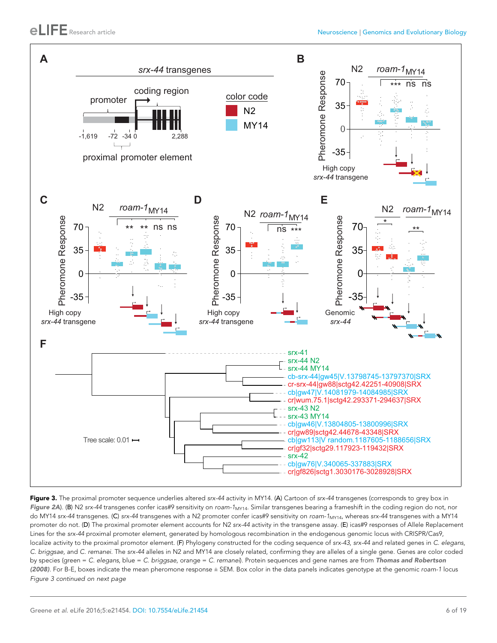<span id="page-5-0"></span>

Figure 3. The proximal promoter sequence underlies altered *srx-44* activity in MY14. (A) Cartoon of *srx-44* transgenes (corresponds to grey box in [Figure 2A](#page-3-0)). (B) N2 srx-44 transgenes confer icas#9 sensitivity on roam-1<sub>MY14</sub>. Similar transgenes bearing a frameshift in the coding region do not, nor do MY14 *srx-44* transgenes. (C) *srx-44* transgenes with a N2 promoter confer icas#9 sensitivity on *roam-1*MY14, whereas *srx-44* transgenes with a MY14 promoter do not. (D) The proximal promoter element accounts for N2 *srx-44* activity in the transgene assay. (E) icas#9 responses of Allele Replacement Lines for the *srx-44* proximal promoter element, generated by homologous recombination in the endogenous genomic locus with CRISPR/Cas9, localize activity to the proximal promotor element. (F) Phylogeny constructed for the coding sequence of *srx-43*, *srx-44* and related genes in *C. elegans, C. briggsae,* and *C. remanei*. The *srx-44* alleles in N2 and MY14 are closely related, confirming they are alleles of a single gene. Genes are color coded by species (green = *C. elegans*, blue = *C. briggsae*, orange = *C. remanei*). Protein sequences and gene names are from [Thomas and Robertson](#page-18-0) [\(2008\)](#page-18-0). For B-E, boxes indicate the mean pheromone response ± SEM. Box color in the data panels indicates genotype at the genomic *roam-1* locus *Figure 3 continued on next page*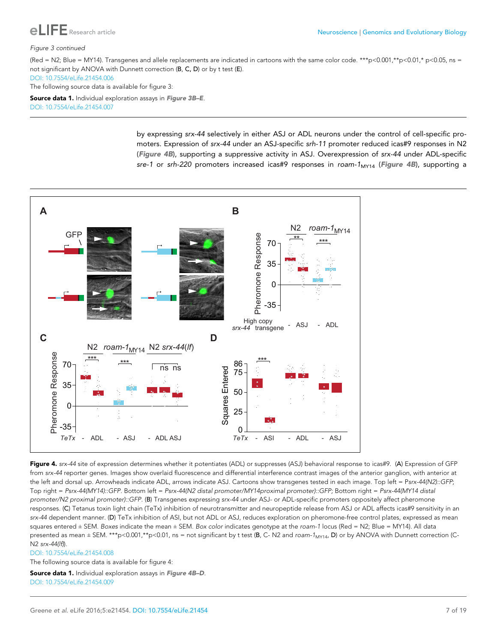<span id="page-6-0"></span>

#### *Figure 3 continued*

(Red = N2; Blue = MY14). Transgenes and allele replacements are indicated in cartoons with the same color code. \*\*\*p<0.001,\*\*p<0.01,\* p<0.05, ns = not significant by ANOVA with Dunnett correction (B, C, D) or by t test (E). [DOI: 10.7554/eLife.21454.006](http://dx.doi.org/10.7554/eLife.21454.006)

The following source data is available for figure 3:

Source data 1. Individual exploration assays in Figure 3B-E. [DOI: 10.7554/eLife.21454.007](http://dx.doi.org/10.7554/eLife.21454.007)

> by expressing *srx-44* selectively in either ASJ or ADL neurons under the control of cell-specific promoters. Expression of *srx-44* under an ASJ-specific *srh-11* promoter reduced icas#9 responses in N2 (Figure 4B), supporting a suppressive activity in ASJ. Overexpression of *srx-44* under ADL-specific *sre-1* or *srh-220* promoters increased icas#9 responses in *roam-1<sub>MY14</sub>* (Figure 4B), supporting a



Figure 4. srx-44 site of expression determines whether it potentiates (ADL) or suppresses (ASJ) behavioral response to icas#9. (A) Expression of GFP from srx-44 reporter genes. Images show overlaid fluorescence and differential interference contrast images of the anterior ganglion, with anterior at the left and dorsal up. Arrowheads indicate ADL, arrows indicate ASJ. Cartoons show transgenes tested in each image. Top left = P*srx-44(N2)::GFP*; Top right = *Psrx-44(MY14)::GFP.* Bottom left = *Psrx-44(N2 distal promoter/MY14proximal promoter)::GFP;* Bottom right = *Psrx-44(MY14 distal promoter/N2 proximal promoter)::GFP.* (B) Transgenes expressing *srx-44 u*nder ASJ- or ADL-specific promoters oppositely affect pheromone responses. (C) Tetanus toxin light chain (TeTx) inhibition of neurotransmitter and neuropeptide release from ASJ or ADL affects icas#9 sensitivity in an *srx-44* dependent manner. (D) TeTx inhibition of ASI, but not ADL or ASJ, reduces exploration on pheromone-free control plates, expressed as mean squares entered ± SEM. *Boxes* indicate the mean ± SEM. *Box color* indicates genotype at the *roam-1* locus (Red = N2; Blue = MY14). All data presented as mean ± SEM. \*\*\*p<0.001,\*\*p<0.01, ns = not significant by t test (B, C- N2 and *roam-1<sub>MY14</sub>, D*) or by ANOVA with Dunnett correction (C-N2 *srx-44(lf)*).

#### [DOI: 10.7554/eLife.21454.008](http://dx.doi.org/10.7554/eLife.21454.008)

The following source data is available for figure 4:

Source data 1. Individual exploration assays in Figure 4B-D. [DOI: 10.7554/eLife.21454.009](http://dx.doi.org/10.7554/eLife.21454.009)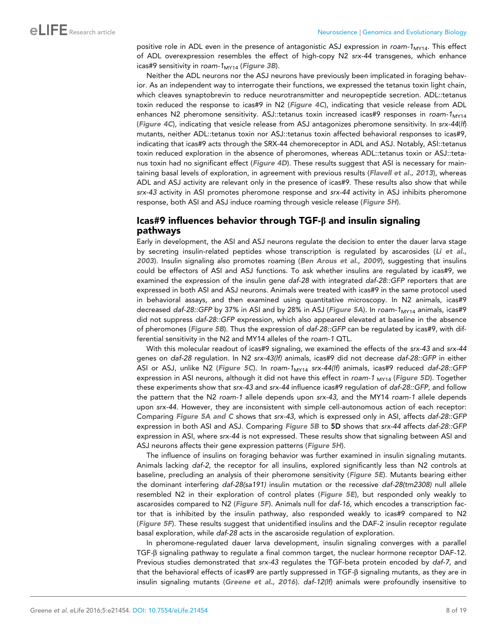positive role in ADL even in the presence of antagonistic ASJ expression in *roam-1*<sub>MY14</sub>. This effect of ADL overexpression resembles the effect of high-copy N2 *srx-44* transgenes, which enhance icas#9 sensitivity in roam-1<sub>MY14</sub> ([Figure 3B](#page-5-0)).

Neither the ADL neurons nor the ASJ neurons have previously been implicated in foraging behavior. As an independent way to interrogate their functions, we expressed the tetanus toxin light chain, which cleaves synaptobrevin to reduce neurotransmitter and neuropeptide secretion. ADL::tetanus toxin reduced the response to icas#9 in N2 ([Figure 4C](#page-6-0)), indicating that vesicle release from ADL enhances N2 pheromone sensitivity. ASJ::tetanus toxin increased icas#9 responses in *roam-1*<sub>MY14</sub> ([Figure 4C](#page-6-0)), indicating that vesicle release from ASJ antagonizes pheromone sensitivity. In *srx-44*(*lf*) mutants, neither ADL::tetanus toxin nor ASJ::tetanus toxin affected behavioral responses to icas#9, indicating that icas#9 acts through the SRX-44 chemoreceptor in ADL and ASJ. Notably, ASI::tetanus toxin reduced exploration in the absence of pheromones, whereas ADL::tetanus toxin or ASJ::teta-nus toxin had no significant effect ([Figure 4D](#page-6-0)). These results suggest that ASI is necessary for main-taining basal levels of exploration, in agreement with previous results ([Flavell et al., 2013](#page-17-0)), whereas ADL and ASJ activity are relevant only in the presence of icas#9. These results also show that while *srx-43* activity in ASI promotes pheromone response and *srx-44* activity in ASJ inhibits pheromone response, both ASI and ASJ induce roaming through vesicle release ([Figure 5H](#page-8-0)).

# $lcas$ #9 influences behavior through TGF- $\beta$  and insulin signaling pathways

Early in development, the ASI and ASJ neurons regulate the decision to enter the dauer larva stage by secreting insulin-related peptides whose transcription is regulated by ascarosides ([Li et al.,](#page-18-0) [2003](#page-18-0)). Insulin signaling also promotes roaming ([Ben Arous et al., 2009](#page-17-0)), suggesting that insulins could be effectors of ASI and ASJ functions. To ask whether insulins are regulated by icas#9, we examined the expression of the insulin gene *daf-28* with integrated *daf-28::GFP* reporters that are expressed in both ASI and ASJ neurons. Animals were treated with icas#9 in the same protocol used in behavioral assays, and then examined using quantitative microscopy. In N2 animals, icas#9 decreased *daf-28::GFP* by 37% in ASI and by 28% in ASJ ([Figure 5A](#page-8-0)). In *roam-1<sub>MY14</sub>* animals, icas#9 did not suppress *daf-28::GFP* expression, which also appeared elevated at baseline in the absence of pheromones ([Figure 5B](#page-8-0)). Thus the expression of daf-28::GFP can be regulated by icas#9, with differential sensitivity in the N2 and MY14 alleles of the *roam-1* QTL.

With this molecular readout of icas#9 signaling, we examined the effects of the *srx-43* and *srx-44* genes on *daf-28* regulation. In N2 *srx-43(lf)* animals, icas#9 did not decrease *daf-28::GFP* in either ASI or ASJ, unlike N2 ([Figure 5C](#page-8-0)). In *roam-1*MY14 *srx-44(lf)* animals, icas#9 reduced *daf-28::GFP* expression in ASI neurons, although it did not have this effect in roam-1 <sub>MY14</sub> ([Figure 5D](#page-8-0)). Together these experiments show that *srx-43* and *srx-44* influence icas#9 regulation of *daf-28::GFP,* and follow the pattern that the N2 *roam-1* allele depends upon *srx-43,* and the MY14 *roam-1* allele depends upon *srx-44.* However, they are inconsistent with simple cell-autonomous action of each receptor: Comparing [Figure 5A and C](#page-8-0) shows that *srx-43,* which is expressed only in ASI, affects *daf-28::GFP* expression in both ASI and ASJ. Comparing [Figure 5B](#page-8-0) to 5D shows that *srx-44* affects *daf-28::GFP* expression in ASI, where *srx-44* is not expressed. These results show that signaling between ASI and ASJ neurons affects their gene expression patterns ([Figure 5H](#page-8-0)).

The influence of insulins on foraging behavior was further examined in insulin signaling mutants. Animals lacking *daf-2,* the receptor for all insulins, explored significantly less than N2 controls at baseline, precluding an analysis of their pheromone sensitivity ([Figure 5E](#page-8-0)). Mutants bearing either the dominant interfering *daf-28(sa191)* insulin mutation or the recessive *daf-28(tm2308)* null allele resembled N2 in their exploration of control plates ([Figure 5E](#page-8-0)), but responded only weakly to ascarosides compared to N2 ([Figure 5F](#page-8-0)). Animals null for *daf-16,* which encodes a transcription factor that is inhibited by the insulin pathway, also responded weakly to icas#9 compared to N2 ([Figure 5F](#page-8-0)). These results suggest that unidentified insulins and the DAF-2 insulin receptor regulate basal exploration, while *daf-28* acts in the ascaroside regulation of exploration.

In pheromone-regulated dauer larva development, insulin signaling converges with a parallel TGF*-*b signaling pathway to regulate a final common target, the nuclear hormone receptor DAF-12. Previous studies demonstrated that *srx-43* regulates the TGF-beta protein encoded by *daf-7,* and that the behavioral effects of icas#9 are partly suppressed in TGF*-*b signaling mutants, as they are in insulin signaling mutants ([Greene et al., 2016](#page-17-0)). *daf-12(lf)* animals were profoundly insensitive to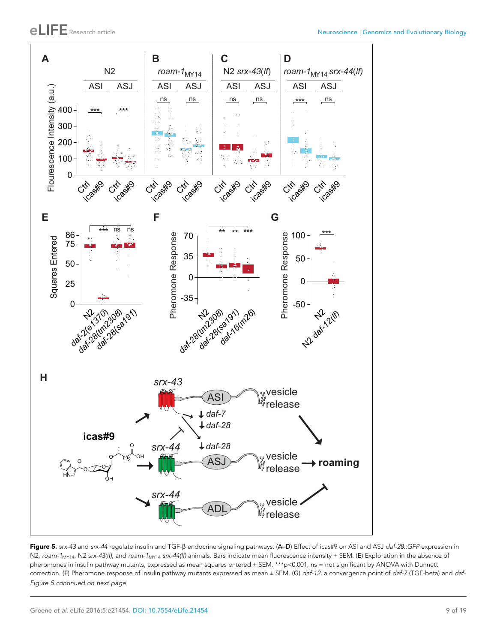<span id="page-8-0"></span>

Figure 5. *srx-43* and *srx-44* regulate insulin and TGF-b endocrine signaling pathways. (A–D) Effect of icas#9 on ASI and ASJ *daf-28::GFP* expression in N2, roam-1<sub>MY14</sub>, N2 srx-43(lf), and roam-1<sub>MY14</sub> srx-44(lf) animals. Bars indicate mean fluorescence intensity ± SEM. (E) Exploration in the absence of pheromones in insulin pathway mutants, expressed as mean squares entered ± SEM. \*\*\*p<0.001, ns = not significant by ANOVA with Dunnett correction. (F) Pheromone response of insulin pathway mutants expressed as mean ± SEM. (G) *daf-12*, a convergence point of *daf-7* (TGF-beta) and *daf-Figure 5 continued on next page*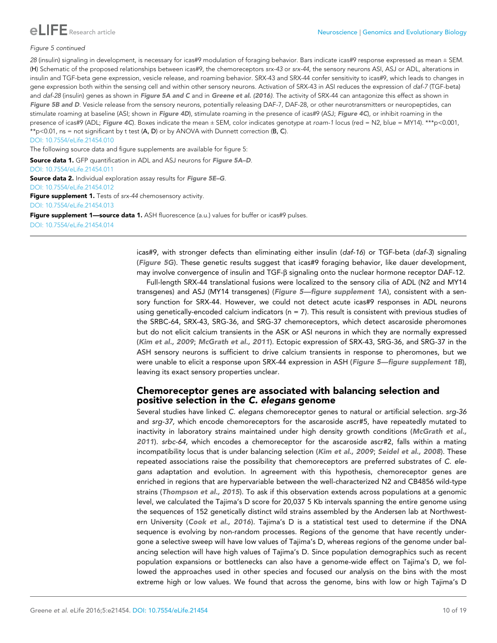

### *Figure 5 continued*

*28* (insulin) signaling in development, is necessary for icas#9 modulation of foraging behavior. Bars indicate icas#9 response expressed as mean ± SEM. (H) Schematic of the proposed relationships between icas#9, the chemoreceptors *srx-43* or *srx-44,* the sensory neurons ASI, ASJ or ADL, alterations in insulin and TGF-beta gene expression, vesicle release, and roaming behavior. SRX-43 and SRX-44 confer sensitivity to icas#9, which leads to changes in gene expression both within the sensing cell and within other sensory neurons. Activation of SRX-43 in ASI reduces the expression of *daf-7* (TGF-beta) and *daf-28* (insulin) genes as shown in **[Figure 5A and C](#page-8-0)** and in [Greene et al. \(2016\)](#page-17-0). The activity of SRX-44 can antagonize this effect as shown in [Figure 5B and D](#page-8-0). Vesicle release from the sensory neurons, potentially releasing DAF-7, DAF-28, or other neurotransmitters or neuropeptides, can stimulate roaming at baseline (ASI; shown in [Figure 4D](#page-6-0)), stimulate roaming in the presence of icas#9 (ASJ; [Figure 4C](#page-6-0)), or inhibit roaming in the presence of icas#9 (ADL; [Figure 4C](#page-6-0)). Boxes indicate the mean ± SEM, color indicates genotype at *roam-1* locus (red = N2, blue = MY14). \*\*\*p<0.001, \*\*p<0.01, ns = not significant by t test  $(A, D)$  or by ANOVA with Dunnett correction  $(B, C)$ .

[DOI: 10.7554/eLife.21454.010](http://dx.doi.org/10.7554/eLife.21454.010)

The following source data and figure supplements are available for figure 5:

Source data 1. GFP quantification in ADL and ASJ neurons for Figure 5A-D.

[DOI: 10.7554/eLife.21454.011](http://dx.doi.org/10.7554/eLife.21454.011)

Source data 2. Individual exploration assay results for Figure 5E-G. [DOI: 10.7554/eLife.21454.012](http://dx.doi.org/10.7554/eLife.21454.012)

Figure supplement 1. Tests of *srx-44* chemosensory activity. [DOI: 10.7554/eLife.21454.013](http://dx.doi.org/10.7554/eLife.21454.013)

Figure supplement 1—source data 1. ASH fluorescence (a.u.) values for buffer or icas#9 pulses. [DOI: 10.7554/eLife.21454.014](http://dx.doi.org/10.7554/eLife.21454.014)

> icas#9, with stronger defects than eliminating either insulin (*daf-16*) or TGF-beta (*daf-3*) signaling ([Figure 5G](#page-8-0)). These genetic results suggest that icas#9 foraging behavior, like dauer development, may involve convergence of insulin and TGF- $\beta$  signaling onto the nuclear hormone receptor DAF-12.

> Full-length SRX-44 translational fusions were localized to the sensory cilia of ADL (N2 and MY14 transgenes) and ASJ (MY14 transgenes) (Figure 5-figure supplement 1A), consistent with a sensory function for SRX-44. However, we could not detect acute icas#9 responses in ADL neurons using genetically-encoded calcium indicators (n = 7). This result is consistent with previous studies of the SRBC-64, SRX-43, SRG-36, and SRG-37 chemoreceptors, which detect ascaroside pheromones but do not elicit calcium transients in the ASK or ASI neurons in which they are normally expressed ([Kim et al., 2009](#page-17-0); [McGrath et al., 2011](#page-18-0)). Ectopic expression of SRX-43, SRG-36, and SRG-37 in the ASH sensory neurons is sufficient to drive calcium transients in response to pheromones, but we were unable to elicit a response upon SRX-44 expression in ASH (Figure 5-figure supplement 1B), leaving its exact sensory properties unclear.

# Chemoreceptor genes are associated with balancing selection and positive selection in the C. elegans genome

Several studies have linked *C. elegans* chemoreceptor genes to natural or artificial selection. *srg-36* and *srg-37*, which encode chemoreceptors for the ascaroside ascr#5, have repeatedly mutated to inactivity in laboratory strains maintained under high density growth conditions ([McGrath et al.,](#page-18-0) [2011](#page-18-0)). *srbc-64,* which encodes a chemoreceptor for the ascaroside ascr#2, falls within a mating incompatibility locus that is under balancing selection ([Kim et al., 2009](#page-17-0); [Seidel et al., 2008](#page-18-0)). These repeated associations raise the possibility that chemoreceptors are preferred substrates of *C. elegans* adaptation and evolution. In agreement with this hypothesis, chemoreceptor genes are enriched in regions that are hypervariable between the well-characterized N2 and CB4856 wild-type strains ([Thompson et al., 2015](#page-18-0)). To ask if this observation extends across populations at a genomic level, we calculated the Tajima's D score for 20,037 5 Kb intervals spanning the entire genome using the sequences of 152 genetically distinct wild strains assembled by the Andersen lab at Northwest-ern University ([Cook et al., 2016](#page-17-0)). Tajima's D is a statistical test used to determine if the DNA sequence is evolving by non-random processes. Regions of the genome that have recently undergone a selective sweep will have low values of Tajima's D, whereas regions of the genome under balancing selection will have high values of Tajima's D. Since population demographics such as recent population expansions or bottlenecks can also have a genome-wide effect on Tajima's D, we followed the approaches used in other species and focused our analysis on the bins with the most extreme high or low values. We found that across the genome, bins with low or high Tajima's D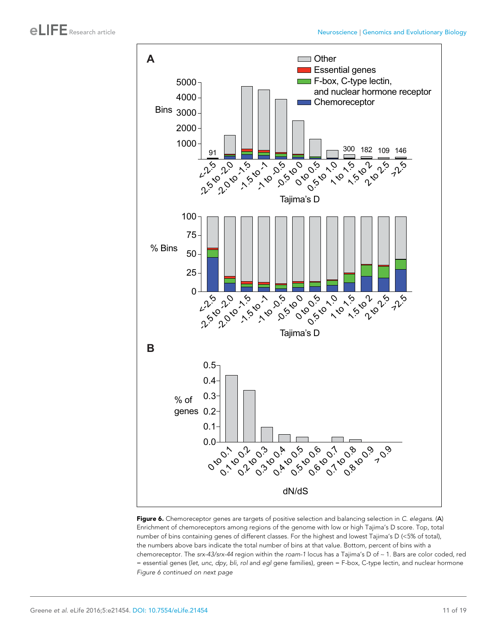<span id="page-10-0"></span>

Figure 6. Chemoreceptor genes are targets of positive selection and balancing selection in *C. elegans*. (A) Enrichment of chemoreceptors among regions of the genome with low or high Tajima's D score. Top, total number of bins containing genes of different classes. For the highest and lowest Tajima's D (<5% of total), the numbers above bars indicate the total number of bins at that value. Bottom, percent of bins with a chemoreceptor. The *srx-43/srx-44* region within the *roam-1* locus has a Tajima's D of ~ 1. Bars are color coded, red = essential genes (*let, unc, dpy, bli, rol* and *egl* gene families), green = F-box, C-type lectin, and nuclear hormone *Figure 6 continued on next page*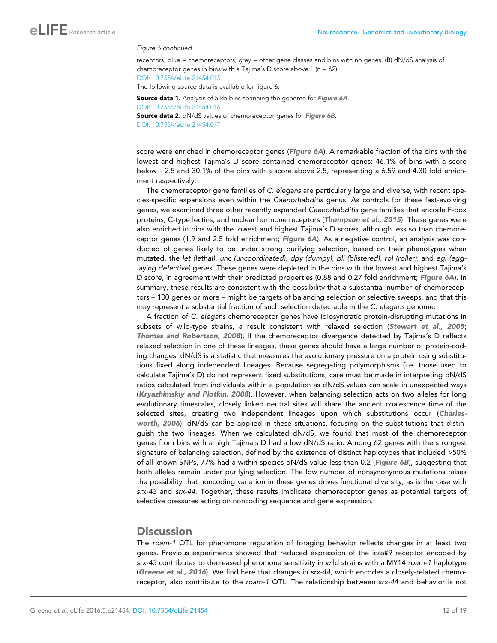#### *Figure 6 continued*

receptors, blue = chemoreceptors, grey = other gene classes and bins with no genes. (B) dN/dS analysis of chemoreceptor genes in bins with a Tajima's D score above 1 ( $n = 62$ ). [DOI: 10.7554/eLife.21454.015](http://dx.doi.org/10.7554/eLife.21454.015)

The following source data is available for figure 6:

Source data 1. Analysis of 5 kb bins spanning the genome for [Figure 6A](#page-10-0). [DOI: 10.7554/eLife.21454.016](http://dx.doi.org/10.7554/eLife.21454.016) Source data 2. dN/dS values of chemoreceptor genes for [Figure 6B](#page-10-0). [DOI: 10.7554/eLife.21454.017](http://dx.doi.org/10.7554/eLife.21454.017)

score were enriched in chemoreceptor genes ([Figure 6A](#page-10-0)). A remarkable fraction of the bins with the lowest and highest Tajima's D score contained chemoreceptor genes: 46.1% of bins with a score below 2.5 and 30.1% of the bins with a score above 2.5, representing a 6.59 and 4.30 fold enrichment respectively.

The chemoreceptor gene families of *C. elegans* are particularly large and diverse, with recent species-specific expansions even within the *Caenorhabditis* genus. As controls for these fast-evolving genes, we examined three other recently expanded *Caenorhabditis* gene families that encode F-box proteins, C-type lectins, and nuclear hormone receptors ([Thompson et al., 2015](#page-18-0)). These genes were also enriched in bins with the lowest and highest Tajima's D scores, although less so than chemoreceptor genes (1.9 and 2.5 fold enrichment; [Figure 6A](#page-10-0)). As a negative control, an analysis was conducted of genes likely to be under strong purifying selection, based on their phenotypes when mutated, the *let (lethal), unc (uncoordinated), dpy (dumpy), bli (blistered), rol (roller),* and *egl (egglaying defective)* genes. These genes were depleted in the bins with the lowest and highest Tajima's D score, in agreement with their predicted properties (0.88 and 0.27 fold enrichment; [Figure 6A](#page-10-0)). In summary, these results are consistent with the possibility that a substantial number of chemoreceptors – 100 genes or more – might be targets of balancing selection or selective sweeps, and that this may represent a substantial fraction of such selection detectable in the *C. elegans* genome.

A fraction of *C. elegans* chemoreceptor genes have idiosyncratic protein-disrupting mutations in subsets of wild-type strains, a result consistent with relaxed selection ([Stewart et al., 2005](#page-18-0); [Thomas and Robertson, 2008](#page-18-0)). If the chemoreceptor divergence detected by Tajima's D reflects relaxed selection in one of these lineages, these genes should have a large number of protein-coding changes. dN/dS is a statistic that measures the evolutionary pressure on a protein using substitutions fixed along independent lineages. Because segregating polymorphisms (i.e. those used to calculate Tajima's D) do not represent fixed substitutions, care must be made in interpreting dN/dS ratios calculated from individuals within a population as dN/dS values can scale in unexpected ways ([Kryazhimskiy and Plotkin, 2008](#page-18-0)). However, when balancing selection acts on two alleles for long evolutionary timescales, closely linked neutral sites will share the ancient coalescence time of the selected sites, creating two independent lineages upon which substitutions occur ([Charles](#page-17-0)[worth, 2006](#page-17-0)). dN/dS can be applied in these situations, focusing on the substitutions that distinguish the two lineages. When we calculated dN/dS, we found that most of the chemoreceptor genes from bins with a high Tajima's D had a low dN/dS ratio. Among 62 genes with the strongest signature of balancing selection, defined by the existence of distinct haplotypes that included >50% of all known SNPs, 77% had a within-species dN/dS value less than 0.2 ([Figure 6B](#page-10-0)), suggesting that both alleles remain under purifying selection. The low number of nonsynonymous mutations raises the possibility that noncoding variation in these genes drives functional diversity, as is the case with *srx-43* and *srx-44*. Together, these results implicate chemoreceptor genes as potential targets of selective pressures acting on noncoding sequence and gene expression.

# **Discussion**

The *roam-1* QTL for pheromone regulation of foraging behavior reflects changes in at least two genes. Previous experiments showed that reduced expression of the icas#9 receptor encoded by *srx-43* contributes to decreased pheromone sensitivity in wild strains with a MY14 *roam-1* haplotype ([Greene et al., 2016](#page-17-0)). We find here that changes in *srx-44,* which encodes a closely-related chemoreceptor, also contribute to the *roam-1* QTL. The relationship between *srx-44* and behavior is not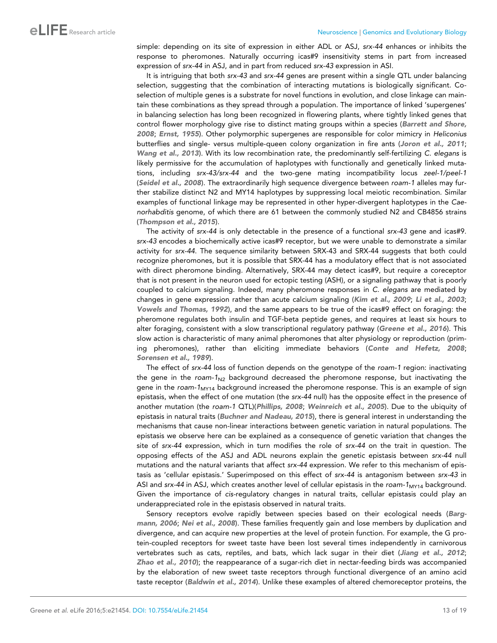simple: depending on its site of expression in either ADL or ASJ, *srx-44* enhances or inhibits the response to pheromones. Naturally occurring icas#9 insensitivity stems in part from increased expression of *srx-44* in ASJ, and in part from reduced *srx-43* expression in ASI.

It is intriguing that both *srx-43* and *srx-44* genes are present within a single QTL under balancing selection, suggesting that the combination of interacting mutations is biologically significant. Coselection of multiple genes is a substrate for novel functions in evolution, and close linkage can maintain these combinations as they spread through a population. The importance of linked 'supergenes' in balancing selection has long been recognized in flowering plants, where tightly linked genes that control flower morphology give rise to distinct mating groups within a species ([Barrett and Shore,](#page-17-0) [2008](#page-17-0); [Ernst, 1955](#page-17-0)). Other polymorphic supergenes are responsible for color mimicry in *Heliconius* butterflies and single- versus multiple-queen colony organization in fire ants ([Joron et al., 2011](#page-17-0); [Wang et al., 2013](#page-18-0)). With its low recombination rate, the predominantly self-fertilizing *C. elegans* is likely permissive for the accumulation of haplotypes with functionally and genetically linked mutations, including *srx-43/srx-44* and the two-gene mating incompatibility locus *zeel-1/peel-1* ([Seidel et al., 2008](#page-18-0)). The extraordinarily high sequence divergence between *roam-1* alleles may further stabilize distinct N2 and MY14 haplotypes by suppressing local meiotic recombination. Similar examples of functional linkage may be represented in other hyper-divergent haplotypes in the *Caenorhabditis* genome, of which there are 61 between the commonly studied N2 and CB4856 strains ([Thompson et al., 2015](#page-18-0)).

The activity of *srx-44* is only detectable in the presence of a functional *srx-43* gene and icas#9. *srx-43* encodes a biochemically active icas#9 receptor, but we were unable to demonstrate a similar activity for *srx-44*. The sequence similarity between SRX-43 and SRX-44 suggests that both could recognize pheromones, but it is possible that SRX-44 has a modulatory effect that is not associated with direct pheromone binding. Alternatively, SRX-44 may detect icas#9, but require a coreceptor that is not present in the neuron used for ectopic testing (ASH), or a signaling pathway that is poorly coupled to calcium signaling. Indeed, many pheromone responses in *C. elegans* are mediated by changes in gene expression rather than acute calcium signaling ([Kim et al., 2009](#page-17-0); [Li et al., 2003](#page-18-0); [Vowels and Thomas, 1992](#page-18-0)), and the same appears to be true of the icas#9 effect on foraging: the pheromone regulates both insulin and TGF-beta peptide genes, and requires at least six hours to alter foraging, consistent with a slow transcriptional regulatory pathway ([Greene et al., 2016](#page-17-0)). This slow action is characteristic of many animal pheromones that alter physiology or reproduction (priming pheromones), rather than eliciting immediate behaviors ([Conte and Hefetz, 2008](#page-18-0); [Sorensen et al., 1989](#page-18-0)).

The effect of *srx-44* loss of function depends on the genotype of the *roam-1* region: inactivating the gene in the *roam-1*N2 background decreased the pheromone response, but inactivating the gene in the *roam-1*MY14 background increased the pheromone response. This is an example of sign epistasis, when the effect of one mutation (the *srx-44* null) has the opposite effect in the presence of another mutation (the *roam-1* QTL)([Phillips, 2008](#page-18-0); [Weinreich et al., 2005](#page-18-0)). Due to the ubiquity of epistasis in natural traits ([Buchner and Nadeau, 2015](#page-17-0)), there is general interest in understanding the mechanisms that cause non-linear interactions between genetic variation in natural populations. The epistasis we observe here can be explained as a consequence of genetic variation that changes the site of *srx-44* expression, which in turn modifies the role of *srx-44* on the trait in question. The opposing effects of the ASJ and ADL neurons explain the genetic epistasis between *srx-44* null mutations and the natural variants that affect *srx-44* expression. We refer to this mechanism of epistasis as 'cellular epistasis.' Superimposed on this effect of *srx-44* is antagonism between *srx-43* in ASI and *srx-44* in ASJ, which creates another level of cellular epistasis in the *roam-1<sub>MY14</sub>* background. Given the importance of *cis-*regulatory changes in natural traits, cellular epistasis could play an underappreciated role in the epistasis observed in natural traits.

Sensory receptors evolve rapidly between species based on their ecological needs ([Barg](#page-17-0)[mann, 2006](#page-17-0); [Nei et al., 2008](#page-18-0)). These families frequently gain and lose members by duplication and divergence, and can acquire new properties at the level of protein function. For example, the G protein-coupled receptors for sweet taste have been lost several times independently in carnivorous vertebrates such as cats, reptiles, and bats, which lack sugar in their diet ([Jiang et al., 2012](#page-17-0); [Zhao et al., 2010](#page-18-0)); the reappearance of a sugar-rich diet in nectar-feeding birds was accompanied by the elaboration of new sweet taste receptors through functional divergence of an amino acid taste receptor ([Baldwin et al., 2014](#page-16-0)). Unlike these examples of altered chemoreceptor proteins, the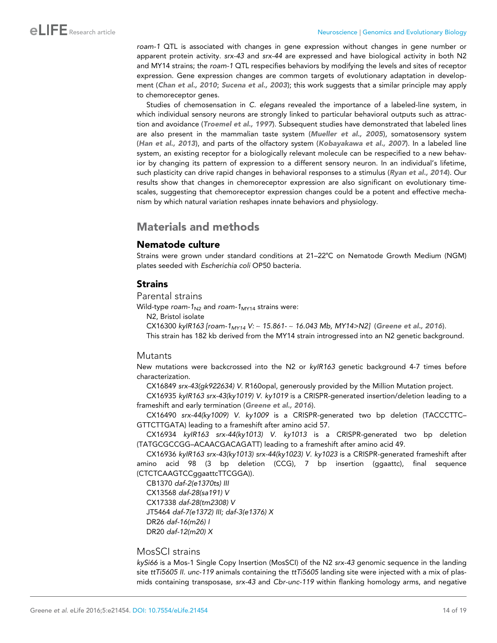*roam-1* QTL is associated with changes in gene expression without changes in gene number or apparent protein activity. *srx-43* and *srx-44* are expressed and have biological activity in both N2 and MY14 strains; the *roam-1* QTL respecifies behaviors by modifying the levels and sites of receptor expression. Gene expression changes are common targets of evolutionary adaptation in development ([Chan et al., 2010](#page-17-0); [Sucena et al., 2003](#page-18-0)); this work suggests that a similar principle may apply to chemoreceptor genes.

Studies of chemosensation in *C. elegans* revealed the importance of a labeled-line system, in which individual sensory neurons are strongly linked to particular behavioral outputs such as attrac-tion and avoidance ([Troemel et al., 1997](#page-18-0)). Subsequent studies have demonstrated that labeled lines are also present in the mammalian taste system ([Mueller et al., 2005](#page-18-0)), somatosensory system ([Han et al., 2013](#page-17-0)), and parts of the olfactory system ([Kobayakawa et al., 2007](#page-17-0)). In a labeled line system, an existing receptor for a biologically relevant molecule can be respecified to a new behavior by changing its pattern of expression to a different sensory neuron. In an individual's lifetime, such plasticity can drive rapid changes in behavioral responses to a stimulus ([Ryan et al., 2014](#page-18-0)). Our results show that changes in chemoreceptor expression are also significant on evolutionary timescales, suggesting that chemoreceptor expression changes could be a potent and effective mechanism by which natural variation reshapes innate behaviors and physiology.

# Materials and methods

# Nematode culture

Strains were grown under standard conditions at 21–22˚C on Nematode Growth Medium (NGM) plates seeded with *Escherichia coli* OP50 bacteria.

# Strains

Parental strains

Wild-type *roam-1*<sub>N2</sub> and *roam-1*<sub>MY14</sub> strains were:

N2, Bristol isolate

CX16300 *kyIR163 [roam-1MY14 V:* ~ *15.861-* ~ *16.043 Mb, MY14>N2]* ([Greene et al., 2016](#page-17-0)).

This strain has 182 kb derived from the MY14 strain introgressed into an N2 genetic background.

# **Mutants**

New mutations were backcrossed into the N2 or *kyIR163* genetic background 4-7 times before characterization.

CX16849 *srx-43(gk922634) V*. R160opal, generously provided by the Million Mutation project.

CX16935 *kyIR163 srx-43(ky1019) V*. *ky1019* is a CRISPR-generated insertion/deletion leading to a frameshift and early termination ([Greene et al., 2016](#page-17-0)).

CX16490 *srx-44(ky1009) V. ky1009* is a CRISPR-generated two bp deletion (TACCCTTC– GTTCTTGATA) leading to a frameshift after amino acid 57.

CX16934 *kyIR163 srx-44(ky1013) V. ky1013* is a CRISPR-generated two bp deletion (TATGCGCCGG–ACAACGACAGATT) leading to a frameshift after amino acid 49.

CX16936 *kyIR163 srx-43(ky1013) srx-44(ky1023) V. ky1023* is a CRISPR-generated frameshift after amino acid 98 (3 bp deletion (CCG), 7 bp insertion (ggaattc), final sequence (CTCTCAAGTCCggaattcTTCGGA)).

CB1370 *daf-2(e1370ts) III* CX13568 *daf-28(sa191) V* CX17338 *daf-28(tm2308) V* JT5464 *daf-7(e1372) III; daf-3(e1376) X* DR26 *daf-16(m26) I* DR20 *daf-12(m20) X*

# MosSCI strains

*kySi66* is a Mos-1 Single Copy Insertion (MosSCI) of the N2 *srx-43* genomic sequence in the landing site *ttTi5605 II. unc-119* animals containing the *ttTi5605* landing site were injected with a mix of plasmids containing transposase, *srx-43* and *Cbr-unc-119* within flanking homology arms, and negative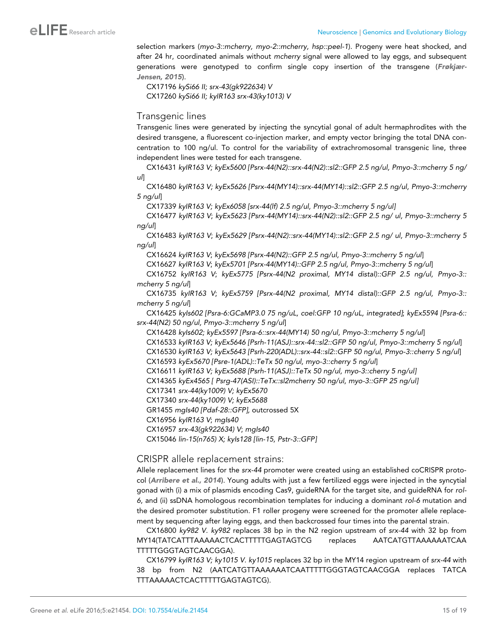selection markers (*myo-3::mcherry, myo-2::mcherry, hsp::peel-1*). Progeny were heat shocked, and after 24 hr, coordinated animals without *mcherry* signal were allowed to lay eggs, and subsequent generations were genotyped to confirm single copy insertion of the transgene ([Frøkjær-](#page-17-0)[Jensen, 2015](#page-17-0)).

CX17196 *kySi66 II; srx-43(gk922634) V* CX17260 *kySi66 II; kyIR163 srx-43(ky1013) V*

# Transgenic lines

Transgenic lines were generated by injecting the syncytial gonal of adult hermaphrodites with the desired transgene, a fluorescent co-injection marker, and empty vector bringing the total DNA concentration to 100 ng/ul. To control for the variability of extrachromosomal transgenic line, three independent lines were tested for each transgene.

CX16431 *kyIR163 V; kyEx5600 [Psrx-44(N2)::srx-44(N2)::sl2::GFP 2.5 ng/ul, Pmyo-3::mcherry 5 ng/ ul*]

CX16480 *kyIR163 V; kyEx5626 [Psrx-44(MY14)::srx-44(MY14)::sl2::GFP 2.5 ng/ul, Pmyo-3::mcherry 5 ng/ul*]

CX17339 *kyIR163 V; kyEx6058 [srx-44(lf) 2.5 ng/ul, Pmyo-3::mcherry 5 ng/ul]*

CX16477 *kyIR163 V*; *kyEx5623 [Psrx-44(MY14)::srx-44(N2)::sl2::GFP 2.5 ng/ ul, Pmyo-3::mcherry 5 ng/ul*]

CX16483 *kyIR163 V*; *kyEx5629 [Psrx-44(N2)::srx-44(MY14)::sl2::GFP 2.5 ng/ ul, Pmyo-3::mcherry 5 ng/ul*]

CX16624 *kyIR163 V*; *kyEx5698 [Psrx-44(N2)::GFP 2.5 ng/ul, Pmyo-3::mcherry 5 ng/ul*]

CX16627 *kyIR163 V*; *kyEx5701 [Psrx-44(MY14)::GFP 2.5 ng/ul, Pmyo-3::mcherry 5 ng/ul*]

CX16752 *kyIR163 V*; *kyEx5775 [Psrx-44(N2 proximal, MY14 distal)::GFP 2.5 ng/ul, Pmyo-3:: mcherry 5 ng/ul*]

CX16735 *kyIR163 V*; *kyEx5759 [Psrx-44(N2 proximal, MY14 distal)::GFP 2.5 ng/ul, Pmyo-3:: mcherry 5 ng/ul*]

CX16425 *kyIs602 [Psra-6:GCaMP3.0 75 ng/uL, coel:GFP 10 ng/uL, integrated]*; *kyEx5594 [Psra-6:: srx-44(N2) 50 ng/ul, Pmyo-3::mcherry 5 ng/ul*]

CX16428 *kyIs602; kyEx5597 [Psra-6::srx-44(MY14) 50 ng/ul, Pmyo-3::mcherry 5 ng/ul*]

CX16533 *kyIR163 V; kyEx5646 [Psrh-11(ASJ)::srx-44::sl2::GFP 50 ng/ul, Pmyo-3::mcherry 5 ng/ul*] CX16530 *kyIR163 V; kyEx5643 [Psrh-220(ADL)::srx-44::sl2::GFP 50 ng/ul, Pmyo-3::cherry 5 ng/ul*]

CX16593 *kyEx5670 [Psre-1(ADL)::TeTx 50 ng/ul, myo-3::cherry 5 ng/ul*]

CX16611 *kyIR163 V; kyEx5688 [Psrh-11(ASJ)::TeTx 50 ng/ul, myo-3::cherry 5 ng/ul]*

CX14365 *kyEx4565 [ Psrg-47(ASI)::TeTx::sl2mcherry 50 ng/ul, myo-3::GFP 25 ng/ul]*

CX17341 *srx-44(ky1009) V; kyEx5670*

CX17340 *srx-44(ky1009) V; kyEx5688*

GR1455 *mgIs40 [Pdaf-28::GFP],* outcrossed 5X

CX16956 *kyIR163 V*; *mgIs40*

CX16957 *srx-43(gk922634) V*; *mgIs40*

CX15046 *lin-15(n765) X; kyIs128 [lin-15, Pstr-3::GFP]*

CRISPR allele replacement strains:

Allele replacement lines for the *srx-44* promoter were created using an established coCRISPR protocol ([Arribere et al., 2014](#page-16-0)). Young adults with just a few fertilized eggs were injected in the syncytial gonad with (i) a mix of plasmids encoding Cas9, guideRNA for the target site, and guideRNA for *rol-6*, and (ii) ssDNA homologous recombination templates for inducing a dominant *rol-6* mutation and the desired promoter substitution. F1 roller progeny were screened for the promoter allele replacement by sequencing after laying eggs, and then backcrossed four times into the parental strain.

CX16800 *ky982 V. ky982* replaces 38 bp in the N2 region upstream of *srx-44* with 32 bp from MY14(TATCATTTAAAAACTCACTTTTTGAGTAGTCG replaces AATCATGTTAAAAAATCAA TTTTTGGGTAGTCAACGGA).

CX16799 *kyIR163 V; ky1015 V. ky1015* replaces 32 bp in the MY14 region upstream of *srx-44* with 38 bp from N2 (AATCATGTTAAAAAATCAATTTTTGGGTAGTCAACGGA replaces TATCA TTTAAAAACTCACTTTTTGAGTAGTCG).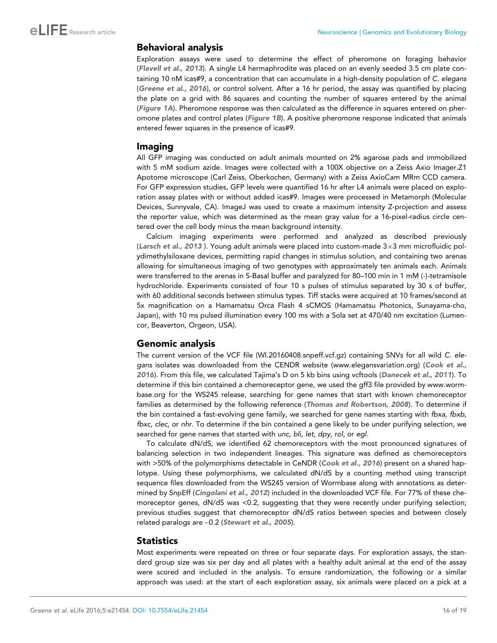### Behavioral analysis

Exploration assays were used to determine the effect of pheromone on foraging behavior ([Flavell et al., 2013](#page-17-0)). A single L4 hermaphrodite was placed on an evenly seeded 3.5 cm plate containing 10 nM icas#9, a concentration that can accumulate in a high-density population of *C. elegans* ([Greene et al., 2016](#page-17-0)), or control solvent. After a 16 hr period, the assay was quantified by placing the plate on a grid with 86 squares and counting the number of squares entered by the animal ([Figure 1A](#page-2-0)). Pheromone response was then calculated as the difference in squares entered on pheromone plates and control plates ([Figure 1B](#page-2-0)). A positive pheromone response indicated that animals entered fewer squares in the presence of icas#9.

### Imaging

All GFP imaging was conducted on adult animals mounted on 2% agarose pads and immobilized with 5 mM sodium azide. Images were collected with a 100X objective on a Zeiss Axio Imager.Z1 Apotome microscope (Carl Zeiss, Oberkochen, Germany) with a Zeiss AxioCam MRm CCD camera. For GFP expression studies, GFP levels were quantified 16 hr after L4 animals were placed on exploration assay plates with or without added icas#9. Images were processed in Metamorph (Molecular Devices, Sunnyvale, CA). ImageJ was used to create a maximum intensity Z-projection and assess the reporter value, which was determined as the mean gray value for a 16-pixel-radius circle centered over the cell body minus the mean background intensity.

Calcium imaging experiments were performed and analyzed as described previously ([Larsch et al., 2013](#page-18-0) ). Young adult animals were placed into custom-made  $3\times3$  mm microfluidic polydimethylsiloxane devices, permitting rapid changes in stimulus solution, and containing two arenas allowing for simultaneous imaging of two genotypes with approximately ten animals each. Animals were transferred to the arenas in S-Basal buffer and paralyzed for 80-100 min in 1 mM (-)-tetramisole hydrochloride. Experiments consisted of four 10 s pulses of stimulus separated by 30 s of buffer, with 60 additional seconds between stimulus types. Tiff stacks were acquired at 10 frames/second at 5x magnification on a Hamamatsu Orca Flash 4 sCMOS (Hamamatsu Photonics, Sunayama-cho, Japan), with 10 ms pulsed illumination every 100 ms with a Sola set at 470/40 nm excitation (Lumencor, Beaverton, Orgeon, USA).

# Genomic analysis

The current version of the VCF file (WI.20160408.snpeff.vcf.gz) containing SNVs for all wild *C. elegans* isolates was downloaded from the CENDR website ([www.elegansvariation.org\)](http://www.elegansvariation.org) ([Cook et al.,](#page-17-0) [2016](#page-17-0)). From this file, we calculated Tajima's D on 5 kb bins using vcftools ([Danecek et al., 2011](#page-17-0)). To determine if this bin contained a chemoreceptor gene, we used the gff3 file provided by [www.worm](http://www.wormbase.org)[base.org](http://www.wormbase.org) for the WS245 release, searching for gene names that start with known chemoreceptor families as determined by the following reference ([Thomas and Robertson, 2008](#page-18-0)). To determine if the bin contained a fast-evolving gene family, we searched for gene names starting with *fbxa, fbxb, fbxc, clec,* or *nhr*. To determine if the bin contained a gene likely to be under purifying selection, we searched for gene names that started with *unc, bli, let, dpy, rol,* or *egl*.

To calculate dN/dS, we identified 62 chemoreceptors with the most pronounced signatures of balancing selection in two independent lineages. This signature was defined as chemoreceptors with >50% of the polymorphisms detectable in CeNDR ([Cook et al., 2016](#page-17-0)) present on a shared haplotype. Using these polymorphisms, we calculated dN/dS by a counting method using transcript sequence files downloaded from the WS245 version of Wormbase along with annotations as determined by SnpEff ([Cingolani et al., 2012](#page-17-0)) included in the downloaded VCF file. For 77% of these chemoreceptor genes, dN/dS was <0.2, suggesting that they were recently under purifying selection; previous studies suggest that chemoreceptor dN/dS ratios between species and between closely related paralogs are ~0.2 ([Stewart et al., 2005](#page-18-0)).

# **Statistics**

Most experiments were repeated on three or four separate days. For exploration assays, the standard group size was six per day and all plates with a healthy adult animal at the end of the assay were scored and included in the analysis. To ensure randomization, the following or a similar approach was used: at the start of each exploration assay, six animals were placed on a pick at a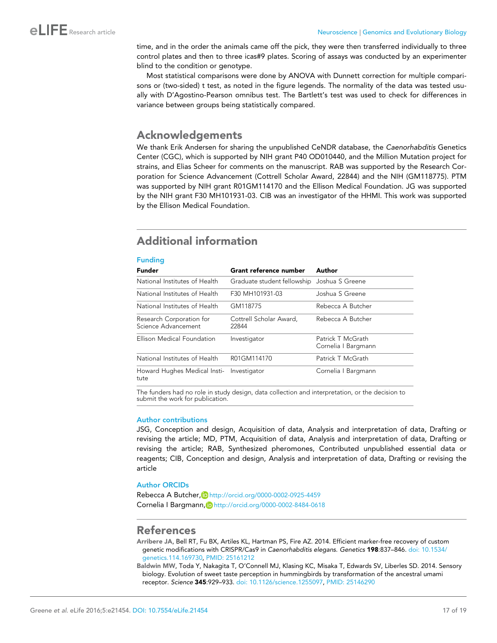<span id="page-16-0"></span>time, and in the order the animals came off the pick, they were then transferred individually to three control plates and then to three icas#9 plates. Scoring of assays was conducted by an experimenter blind to the condition or genotype.

Most statistical comparisons were done by ANOVA with Dunnett correction for multiple comparisons or (two-sided) t test, as noted in the figure legends. The normality of the data was tested usually with D'Agostino-Pearson omnibus test. The Bartlett's test was used to check for differences in variance between groups being statistically compared.

# Acknowledgements

We thank Erik Andersen for sharing the unpublished CeNDR database, the *Caenorhabditis* Genetics Center (CGC), which is supported by NIH grant P40 OD010440, and the Million Mutation project for strains, and Elias Scheer for comments on the manuscript. RAB was supported by the Research Corporation for Science Advancement (Cottrell Scholar Award, 22844) and the NIH (GM118775). PTM was supported by NIH grant R01GM114170 and the Ellison Medical Foundation. JG was supported by the NIH grant F30 MH101931-03. CIB was an investigator of the HHMI. This work was supported by the Ellison Medical Foundation.

# Additional information

#### Funding

| <b>Funder</b>                                   | Grant reference number                      | Author                                   |
|-------------------------------------------------|---------------------------------------------|------------------------------------------|
| National Institutes of Health                   | Graduate student fellowship Joshua S Greene |                                          |
| National Institutes of Health                   | F30 MH101931-03                             | Joshua S Greene                          |
| National Institutes of Health                   | GM118775                                    | Rebecca A Butcher                        |
| Research Corporation for<br>Science Advancement | Cottrell Scholar Award,<br>22844            | Rebecca A Butcher                        |
| Ellison Medical Foundation                      | Investigator                                | Patrick T McGrath<br>Cornelia I Bargmann |
| National Institutes of Health                   | R01GM114170                                 | Patrick T McGrath                        |
| Howard Hughes Medical Insti-<br>tute            | Investigator                                | Cornelia   Bargmann                      |

The funders had no role in study design, data collection and interpretation, or the decision to submit the work for publication.

#### Author contributions

JSG, Conception and design, Acquisition of data, Analysis and interpretation of data, Drafting or revising the article; MD, PTM, Acquisition of data, Analysis and interpretation of data, Drafting or revising the article; RAB, Synthesized pheromones, Contributed unpublished essential data or reagents; CIB, Conception and design, Analysis and interpretation of data, Drafting or revising the article

### Author ORCIDs

Rebecca A Butcher, <http://orcid.org/0000-0002-0925-4459> Cornelia I Bargmann, D <http://orcid.org/0000-0002-8484-0618>

# References

Arribere JA, Bell RT, Fu BX, Artiles KL, Hartman PS, Fire AZ. 2014. Efficient marker-free recovery of custom genetic modifications with CRISPR/Cas9 in *Caenorhabditis elegans*. *Genetics* 198:837–846. [doi: 10.1534/](http://dx.doi.org/10.1534/genetics.114.169730) [genetics.114.169730](http://dx.doi.org/10.1534/genetics.114.169730), PMID: [25161212](http://www.ncbi.nlm.nih.gov/pubmed/25161212)

Baldwin MW, Toda Y, Nakagita T, O'Connell MJ, Klasing KC, Misaka T, Edwards SV, Liberles SD. 2014. Sensory biology. Evolution of sweet taste perception in hummingbirds by transformation of the ancestral umami receptor. *Science* 345:929–933. [doi: 10.1126/science.1255097,](http://dx.doi.org/10.1126/science.1255097) PMID: [25146290](http://www.ncbi.nlm.nih.gov/pubmed/25146290)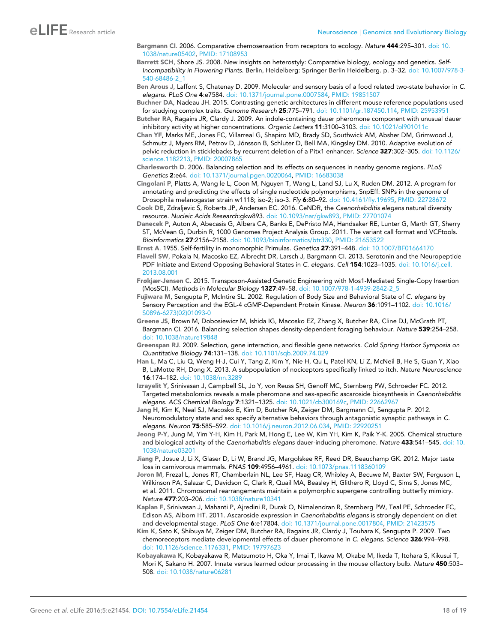- <span id="page-17-0"></span>Bargmann CI. 2006. Comparative chemosensation from receptors to ecology. *Nature* 444:295–301. [doi: 10.](http://dx.doi.org/10.1038/nature05402) [1038/nature05402,](http://dx.doi.org/10.1038/nature05402) PMID: [17108953](http://www.ncbi.nlm.nih.gov/pubmed/17108953)
- Barrett SCH, Shore JS. 2008. New insights on heterostyly: Comparative biology, ecology and genetics. *Self-Incompatibility in Flowering Plants*. Berlin, Heidelberg: Springer Berlin Heidelberg. p. 3–32. [doi: 10.1007/978-3-](http://dx.doi.org/10.1007/978-3-540-68486-2_1) [540-68486-2\\_1](http://dx.doi.org/10.1007/978-3-540-68486-2_1)

Ben Arous J, Laffont S, Chatenay D. 2009. Molecular and sensory basis of a food related two-state behavior in *C. elegans*. *PLoS One* 4:e7584. [doi: 10.1371/journal.pone.0007584](http://dx.doi.org/10.1371/journal.pone.0007584), PMID: [19851507](http://www.ncbi.nlm.nih.gov/pubmed/19851507)

- Buchner DA, Nadeau JH. 2015. Contrasting genetic architectures in different mouse reference populations used for studying complex traits. *Genome Research* 25:775–791. [doi: 10.1101/gr.187450.114](http://dx.doi.org/10.1101/gr.187450.114), PMID: [25953951](http://www.ncbi.nlm.nih.gov/pubmed/25953951)
- Butcher RA, Ragains JR, Clardy J. 2009. An indole-containing dauer pheromone component with unusual dauer inhibitory activity at higher concentrations. *Organic Letters* 11:3100–3103. [doi: 10.1021/ol901011c](http://dx.doi.org/10.1021/ol901011c)
- Chan YF, Marks ME, Jones FC, Villarreal G, Shapiro MD, Brady SD, Southwick AM, Absher DM, Grimwood J, Schmutz J, Myers RM, Petrov D, Jónsson B, Schluter D, Bell MA, Kingsley DM. 2010. Adaptive evolution of pelvic reduction in sticklebacks by recurrent deletion of a Pitx1 enhancer. *Science* 327:302–305. [doi: 10.1126/](http://dx.doi.org/10.1126/science.1182213) [science.1182213,](http://dx.doi.org/10.1126/science.1182213) PMID: [20007865](http://www.ncbi.nlm.nih.gov/pubmed/20007865)
- Charlesworth D. 2006. Balancing selection and its effects on sequences in nearby genome regions. *PLoS Genetics* 2:e64. [doi: 10.1371/journal.pgen.0020064](http://dx.doi.org/10.1371/journal.pgen.0020064), PMID: [16683038](http://www.ncbi.nlm.nih.gov/pubmed/16683038)
- Cingolani P, Platts A, Wang le L, Coon M, Nguyen T, Wang L, Land SJ, Lu X, Ruden DM. 2012. A program for annotating and predicting the effects of single nucleotide polymorphisms, SnpEff: SNPs in the genome of Drosophila melanogaster strain w1118; iso-2; iso-3. *Fly* 6:80–92. [doi: 10.4161/fly.19695,](http://dx.doi.org/10.4161/fly.19695) PMID: [22728672](http://www.ncbi.nlm.nih.gov/pubmed/22728672)
- Cook DE, Zdraljevic S, Roberts JP, Andersen EC. 2016. CeNDR, the *Caenorhabditis elegans* natural diversity resource. *Nucleic Acids Research*:gkw893. [doi: 10.1093/nar/gkw893](http://dx.doi.org/10.1093/nar/gkw893), PMID: [27701074](http://www.ncbi.nlm.nih.gov/pubmed/27701074)
- Danecek P, Auton A, Abecasis G, Albers CA, Banks E, DePristo MA, Handsaker RE, Lunter G, Marth GT, Sherry ST, McVean G, Durbin R, 1000 Genomes Project Analysis Group. 2011. The variant call format and VCFtools. *Bioinformatics* 27:2156–2158. [doi: 10.1093/bioinformatics/btr330,](http://dx.doi.org/10.1093/bioinformatics/btr330) PMID: [21653522](http://www.ncbi.nlm.nih.gov/pubmed/21653522)
- Ernst A. 1955. Self-fertility in monomorphic Primulas. *Genetica* 27:391–448. [doi: 10.1007/BF01664170](http://dx.doi.org/10.1007/BF01664170)
- Flavell SW, Pokala N, Macosko EZ, Albrecht DR, Larsch J, Bargmann CI. 2013. Serotonin and the Neuropeptide PDF Initiate and Extend Opposing Behavioral States in *C. elegans*. *Cell* 154:1023–1035. [doi: 10.1016/j.cell.](http://dx.doi.org/10.1016/j.cell.2013.08.001) [2013.08.001](http://dx.doi.org/10.1016/j.cell.2013.08.001)
- Frøkjær-Jensen C. 2015. Transposon-Assisted Genetic Engineering with Mos1-Mediated Single-Copy Insertion (MosSCI). *Methods in Molecular Biology* 1327:49–58. [doi: 10.1007/978-1-4939-2842-2\\_5](http://dx.doi.org/10.1007/978-1-4939-2842-2_5)
- Fujiwara M, Sengupta P, McIntire SL. 2002. Regulation of Body Size and Behavioral State of *C. elegans* by Sensory Perception and the EGL-4 cGMP-Dependent Protein Kinase. *Neuron* 36:1091–1102. [doi: 10.1016/](http://dx.doi.org/10.1016/S0896-6273(02)01093-0) [S0896-6273\(02\)01093-0](http://dx.doi.org/10.1016/S0896-6273(02)01093-0)
- Greene JS, Brown M, Dobosiewicz M, Ishida IG, Macosko EZ, Zhang X, Butcher RA, Cline DJ, McGrath PT, Bargmann CI. 2016. Balancing selection shapes density-dependent foraging behaviour. *Nature* 539:254–258. [doi: 10.1038/nature19848](http://dx.doi.org/10.1038/nature19848)
- Greenspan RJ. 2009. Selection, gene interaction, and flexible gene networks. *Cold Spring Harbor Symposia on Quantitative Biology* 74:131–138. [doi: 10.1101/sqb.2009.74.029](http://dx.doi.org/10.1101/sqb.2009.74.029)
- Han L, Ma C, Liu Q, Weng H-J, Cui Y, Tang Z, Kim Y, Nie H, Qu L, Patel KN, Li Z, McNeil B, He S, Guan Y, Xiao B, LaMotte RH, Dong X. 2013. A subpopulation of nociceptors specifically linked to itch. *Nature Neuroscience* 16:174–182. [doi: 10.1038/nn.3289](http://dx.doi.org/10.1038/nn.3289)
- Izrayelit Y, Srinivasan J, Campbell SL, Jo Y, von Reuss SH, Genoff MC, Sternberg PW, Schroeder FC. 2012. Targeted metabolomics reveals a male pheromone and sex-specific ascaroside biosynthesis in *Caenorhabditis elegans*. *ACS Chemical Biology* 7:1321–1325. [doi: 10.1021/cb300169c,](http://dx.doi.org/10.1021/cb300169c) PMID: [22662967](http://www.ncbi.nlm.nih.gov/pubmed/22662967)
- Jang H, Kim K, Neal SJ, Macosko E, Kim D, Butcher RA, Zeiger DM, Bargmann CI, Sengupta P. 2012. Neuromodulatory state and sex specify alternative behaviors through antagonistic synaptic pathways in *C. elegans*. *Neuron* 75:585–592. [doi: 10.1016/j.neuron.2012.06.034](http://dx.doi.org/10.1016/j.neuron.2012.06.034), PMID: [22920251](http://www.ncbi.nlm.nih.gov/pubmed/22920251)
- Jeong P-Y, Jung M, Yim Y-H, Kim H, Park M, Hong E, Lee W, Kim YH, Kim K, Paik Y-K. 2005. Chemical structure and biological activity of the *Caenorhabditis elegans* dauer-inducing pheromone. *Nature* 433:541–545. [doi: 10.](http://dx.doi.org/10.1038/nature03201) [1038/nature03201](http://dx.doi.org/10.1038/nature03201)
- Jiang P, Josue J, Li X, Glaser D, Li W, Brand JG, Margolskee RF, Reed DR, Beauchamp GK. 2012. Major taste loss in carnivorous mammals. *PNAS* 109:4956–4961. [doi: 10.1073/pnas.1118360109](http://dx.doi.org/10.1073/pnas.1118360109)
- Joron M, Frezal L, Jones RT, Chamberlain NL, Lee SF, Haag CR, Whibley A, Becuwe M, Baxter SW, Ferguson L, Wilkinson PA, Salazar C, Davidson C, Clark R, Quail MA, Beasley H, Glithero R, Lloyd C, Sims S, Jones MC, et al. 2011. Chromosomal rearrangements maintain a polymorphic supergene controlling butterfly mimicry. *Nature* 477:203–206. [doi: 10.1038/nature10341](http://dx.doi.org/10.1038/nature10341)
- Kaplan F, Srinivasan J, Mahanti P, Ajredini R, Durak O, Nimalendran R, Sternberg PW, Teal PE, Schroeder FC, Edison AS, Alborn HT. 2011. Ascaroside expression in *Caenorhabditis elegans* is strongly dependent on diet and developmental stage. *PLoS One* 6:e17804. [doi: 10.1371/journal.pone.0017804](http://dx.doi.org/10.1371/journal.pone.0017804), PMID: [21423575](http://www.ncbi.nlm.nih.gov/pubmed/21423575)
- Kim K, Sato K, Shibuya M, Zeiger DM, Butcher RA, Ragains JR, Clardy J, Touhara K, Sengupta P. 2009. Two chemoreceptors mediate developmental effects of dauer pheromone in *C. elegans*. *Science* 326:994–998. [doi: 10.1126/science.1176331](http://dx.doi.org/10.1126/science.1176331), PMID: [19797623](http://www.ncbi.nlm.nih.gov/pubmed/19797623)
- Kobayakawa K, Kobayakawa R, Matsumoto H, Oka Y, Imai T, Ikawa M, Okabe M, Ikeda T, Itohara S, Kikusui T, Mori K, Sakano H. 2007. Innate versus learned odour processing in the mouse olfactory bulb. *Nature* 450:503– 508. [doi: 10.1038/nature06281](http://dx.doi.org/10.1038/nature06281)